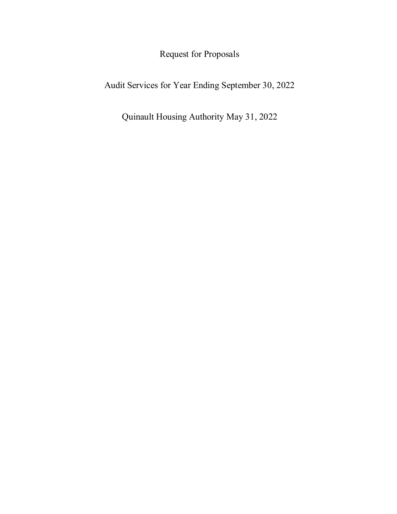Request for Proposals

Audit Services for Year Ending September 30, 2022

Quinault Housing Authority May 31, 2022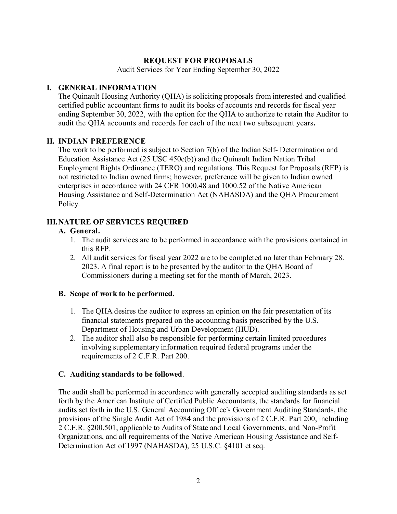## **REQUEST FOR PROPOSALS**

Audit Services for Year Ending September 30, 2022

#### **I. GENERAL INFORMATION**

The Quinault Housing Authority (QHA) is soliciting proposals from interested and qualified certified public accountant firms to audit its books of accounts and records for fiscal year ending September 30, 2022, with the option for the QHA to authorize to retain the Auditor to audit the QHA accounts and records for each of the next two subsequent years**.** 

#### **II. INDIAN PREFERENCE**

The work to be performed is subject to Section 7(b) of the Indian Self- Determination and Education Assistance Act (25 USC 450e(b)) and the Quinault Indian Nation Tribal Employment Rights Ordinance (TERO) and regulations. This Request for Proposals (RFP) is not restricted to Indian owned firms; however, preference will be given to Indian owned enterprises in accordance with 24 CFR 1000.48 and 1000.52 of the Native American Housing Assistance and Self-Determination Act (NAHASDA) and the QHA Procurement Policy.

## **III.NATURE OF SERVICES REQUIRED**

#### **A. General.**

- 1. The audit services are to be performed in accordance with the provisions contained in this RFP.
- 2. All audit services for fiscal year 2022 are to be completed no later than February 28. 2023. A final report is to be presented by the auditor to the QHA Board of Commissioners during a meeting set for the month of March, 2023.

## **B. Scope of work to be performed.**

- 1. The QHA desires the auditor to express an opinion on the fair presentation of its financial statements prepared on the accounting basis prescribed by the U.S. Department of Housing and Urban Development (HUD).
- 2. The auditor shall also be responsible for performing certain limited procedures involving supplementary information required federal programs under the requirements of 2 C.F.R. Part 200.

#### **C. Auditing standards to be followed**.

The audit shall be performed in accordance with generally accepted auditing standards as set forth by the American Institute of Certified Public Accountants, the standards for financial audits set forth in the U.S. General Accounting Office's Government Auditing Standards, the provisions of the Single Audit Act of 1984 and the provisions of 2 C.F.R. Part 200, including 2 C.F.R. §200.501, applicable to Audits of State and Local Governments, and Non-Profit Organizations, and all requirements of the Native American Housing Assistance and Self-Determination Act of 1997 (NAHASDA), 25 U.S.C. §4101 et seq.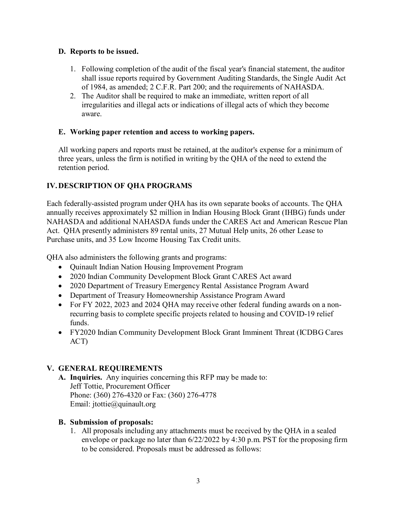## **D. Reports to be issued.**

- 1. Following completion of the audit of the fiscal year's financial statement, the auditor shall issue reports required by Government Auditing Standards, the Single Audit Act of 1984, as amended; 2 C.F.R. Part 200; and the requirements of NAHASDA.
- 2. The Auditor shall be required to make an immediate, written report of all irregularities and illegal acts or indications of illegal acts of which they become aware.

## **E. Working paper retention and access to working papers.**

All working papers and reports must be retained, at the auditor's expense for a minimum of three years, unless the firm is notified in writing by the QHA of the need to extend the retention period.

# **IV.DESCRIPTION OF QHA PROGRAMS**

Each federally-assisted program under QHA has its own separate books of accounts. The QHA annually receives approximately \$2 million in Indian Housing Block Grant (IHBG) funds under NAHASDA and additional NAHASDA funds under the CARES Act and American Rescue Plan Act. QHA presently administers 89 rental units, 27 Mutual Help units, 26 other Lease to Purchase units, and 35 Low Income Housing Tax Credit units.

QHA also administers the following grants and programs:

- Quinault Indian Nation Housing Improvement Program
- 2020 Indian Community Development Block Grant CARES Act award
- 2020 Department of Treasury Emergency Rental Assistance Program Award
- Department of Treasury Homeownership Assistance Program Award
- For FY 2022, 2023 and 2024 OHA may receive other federal funding awards on a nonrecurring basis to complete specific projects related to housing and COVID-19 relief funds.
- FY2020 Indian Community Development Block Grant Imminent Threat (ICDBG Cares ACT)

# **V. GENERAL REQUIREMENTS**

**A. Inquiries.** Any inquiries concerning this RFP may be made to: Jeff Tottie, Procurement Officer Phone: (360) 276-4320 or Fax: (360) 276-4778 Email: jtottie@quinault.org

# **B. Submission of proposals:**

1. All proposals including any attachments must be received by the QHA in a sealed envelope or package no later than 6/22/2022 by 4:30 p.m. PST for the proposing firm to be considered. Proposals must be addressed as follows: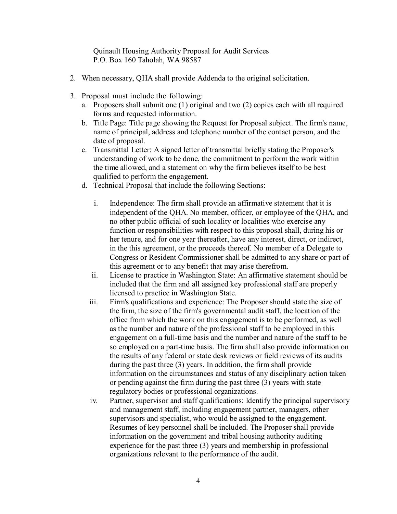Quinault Housing Authority Proposal for Audit Services P.O. Box 160 Taholah, WA 98587

- 2. When necessary, QHA shall provide Addenda to the original solicitation.
- 3. Proposal must include the following:
	- a. Proposers shall submit one (1) original and two (2) copies each with all required forms and requested information.
	- b. Title Page: Title page showing the Request for Proposal subject. The firm's name, name of principal, address and telephone number of the contact person, and the date of proposal.
	- c. Transmittal Letter: A signed letter of transmittal briefly stating the Proposer's understanding of work to be done, the commitment to perform the work within the time allowed, and a statement on why the firm believes itself to be best qualified to perform the engagement.
	- d. Technical Proposal that include the following Sections:
		- i. Independence: The firm shall provide an affirmative statement that it is independent of the QHA. No member, officer, or employee of the QHA, and no other public official of such locality or localities who exercise any function or responsibilities with respect to this proposal shall, during his or her tenure, and for one year thereafter, have any interest, direct, or indirect, in the this agreement, or the proceeds thereof. No member of a Delegate to Congress or Resident Commissioner shall be admitted to any share or part of this agreement or to any benefit that may arise therefrom.
		- ii. License to practice in Washington State: An affirmative statement should be included that the firm and all assigned key professional staff are properly licensed to practice in Washington State.
		- iii. Firm's qualifications and experience: The Proposer should state the size of the firm, the size of the firm's governmental audit staff, the location of the office from which the work on this engagement is to be performed, as well as the number and nature of the professional staff to be employed in this engagement on a full-time basis and the number and nature of the staff to be so employed on a part-time basis. The firm shall also provide information on the results of any federal or state desk reviews or field reviews of its audits during the past three (3) years. In addition, the firm shall provide information on the circumstances and status of any disciplinary action taken or pending against the firm during the past three (3) years with state regulatory bodies or professional organizations.
		- iv. Partner, supervisor and staff qualifications: Identify the principal supervisory and management staff, including engagement partner, managers, other supervisors and specialist, who would be assigned to the engagement. Resumes of key personnel shall be included. The Proposer shall provide information on the government and tribal housing authority auditing experience for the past three (3) years and membership in professional organizations relevant to the performance of the audit.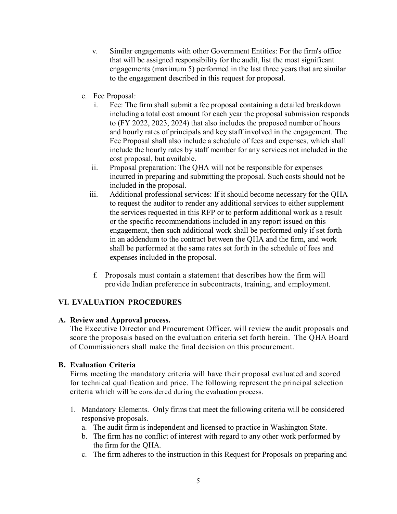- v. Similar engagements with other Government Entities: For the firm's office that will be assigned responsibility for the audit, list the most significant engagements (maximum 5) performed in the last three years that are similar to the engagement described in this request for proposal.
- e. Fee Proposal:
	- i. Fee: The firm shall submit a fee proposal containing a detailed breakdown including a total cost amount for each year the proposal submission responds to (FY 2022, 2023, 2024) that also includes the proposed number of hours and hourly rates of principals and key staff involved in the engagement. The Fee Proposal shall also include a schedule of fees and expenses, which shall include the hourly rates by staff member for any services not included in the cost proposal, but available.
	- ii. Proposal preparation: The QHA will not be responsible for expenses incurred in preparing and submitting the proposal. Such costs should not be included in the proposal.
	- iii. Additional professional services: If it should become necessary for the QHA to request the auditor to render any additional services to either supplement the services requested in this RFP or to perform additional work as a result or the specific recommendations included in any report issued on this engagement, then such additional work shall be performed only if set forth in an addendum to the contract between the QHA and the firm, and work shall be performed at the same rates set forth in the schedule of fees and expenses included in the proposal.
	- f. Proposals must contain a statement that describes how the firm will provide Indian preference in subcontracts, training, and employment.

# **VI. EVALUATION PROCEDURES**

#### **A. Review and Approval process.**

The Executive Director and Procurement Officer, will review the audit proposals and score the proposals based on the evaluation criteria set forth herein. The QHA Board of Commissioners shall make the final decision on this procurement.

## **B. Evaluation Criteria**

Firms meeting the mandatory criteria will have their proposal evaluated and scored for technical qualification and price. The following represent the principal selection criteria which will be considered during the evaluation process.

- 1. Mandatory Elements. Only firms that meet the following criteria will be considered responsive proposals.
	- a. The audit firm is independent and licensed to practice in Washington State.
	- b. The firm has no conflict of interest with regard to any other work performed by the firm for the QHA.
	- c. The firm adheres to the instruction in this Request for Proposals on preparing and